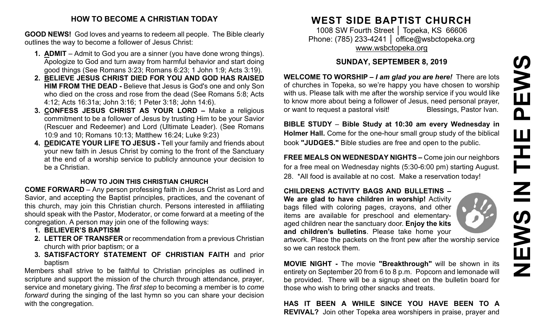## **HOW TO BECOME A CHRISTIAN TODAY**

**GOOD NEWS!** God loves and yearns to redeem all people. The Bible clearly outlines the way to become a follower of Jesus Christ:

- **1. ADMIT** Admit to God you are a sinner (you have done wrong things). Apologize to God and turn away from harmful behavior and start doing good things (See Romans 3:23; Romans 6:23; 1 John 1:9; Acts 3:19).
- **2. BELIEVE JESUS CHRIST DIED FOR YOU AND GOD HAS RAISED HIM FROM THE DEAD -** Believe that Jesus is God's one and only Son who died on the cross and rose from the dead (See Romans 5:8; Acts 4:12; Acts 16:31a; John 3:16; 1 Peter 3:18; John 14:6).
- **3. CONFESS JESUS CHRIST AS YOUR LORD –** Make a religious commitment to be a follower of Jesus by trusting Him to be your Savior (Rescuer and Redeemer) and Lord (Ultimate Leader). (See Romans 10:9 and 10; Romans 10:13; Matthew 16:24; Luke 9:23)
- **4. DEDICATE YOUR LIFE TO JESUS -** Tell your family and friends about your new faith in Jesus Christ by coming to the front of the Sanctuary at the end of a worship service to publicly announce your decision to be a Christian.

### **HOW TO JOIN THIS CHRISTIAN CHURCH**

**COME FORWARD** – Any person professing faith in Jesus Christ as Lord and Savior, and accepting the Baptist principles, practices, and the covenant of this church, may join this Christian church. Persons interested in affiliating should speak with the Pastor, Moderator, or come forward at a meeting of the congregation. A person may join one of the following ways:

- **1. BELIEVER'S BAPTISM**
- **2. LETTER OF TRANSFER** or recommendation from a previous Christian church with prior baptism; or a
- **3. SATISFACTORY STATEMENT OF CHRISTIAN FAITH** and prior baptism

Members shall strive to be faithful to Christian principles as outlined in scripture and support the mission of the church through attendance, prayer, service and monetary giving. The *first step* to becoming a member is to *come forward* during the singing of the last hymn so you can share your decision with the congregation.

# **WEST SIDE BAPTIST CHURCH**

1008 SW Fourth Street | Topeka, KS 66606 Phone: (785) 233-4241 │ [office@wsbctopeka.org](mailto:office@wsbctopeka.org) [www.wsbctopeka.org](http://www.wsbctopeka.org/)

## **SUNDAY, SEPTEMBER 8, 2019**

**WELCOME TO WORSHIP –** *I am glad you are here!* There are lots of churches in Topeka, so we're happy you have chosen to worship with us. Please talk with me after the worship service if you would like to know more about being a follower of Jesus, need personal prayer, or want to request a pastoral visit!<br>
Blessings, Pastor Ivan.

**BIBLE STUDY** – **Bible Study at 10:30 am every Wednesday in Holmer Hall.** Come for the one-hour small group study of the biblical book **"JUDGES."** Bible studies are free and open to the public.

**FREE MEALS ON WEDNESDAY NIGHTS –** Come join our neighbors for a free meal on Wednesday nights (5:30-6:00 pm) starting August. 28. \*All food is available at no cost. Make a reservation today!

## **CHILDRENS ACTIVITY BAGS AND BULLETINS –**

**We are glad to have children in worship!** Activity bags filled with coloring pages, crayons, and other items are available for preschool and elementaryaged children near the sanctuary door. **Enjoy the kits and children's bulletins**. Please take home your

artwork. Place the packets on the front pew after the worship service so we can restock them.

**MOVIE NIGHT -** The movie **"Breakthrough"** will be shown in its entirety on September 20 from 6 to 8 p.m. Popcorn and lemonade will be provided. There will be a signup sheet on the bulletin board for those who wish to bring other snacks and treats.

**HAS IT BEEN A WHILE SINCE YOU HAVE BEEN TO A REVIVAL?** Join other Topeka area worshipers in praise, prayer and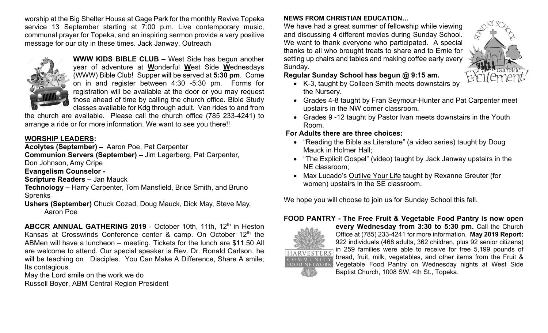worship at the Big Shelter House at Gage Park for the monthly Revive Topeka service 13 September starting at 7:00 p.m. Live contemporary music, communal prayer for Topeka, and an inspiring sermon provide a very positive message for our city in these times. Jack Janway, Outreach



**WWW KIDS BIBLE CLUB –** West Side has begun another year of adventure at **W**onderful **W**est Side **W**ednesdays (WWW) Bible Club! Supper will be served at **5:30 pm**. Come on in and register between 4:30 -5:30 pm. Forms for registration will be available at the door or you may request those ahead of time by calling the church office. Bible Study classes available for Kdg through adult. Van rides to and from

the church are available. Please call the church office (785 233-4241) to arrange a ride or for more information. We want to see you there!!

## **WORSHIP LEADERS:**

**Acolytes (September) –** Aaron Poe, Pat Carpenter

**Communion Servers (September) –** Jim Lagerberg, Pat Carpenter,

Don Johnson, Amy Cripe

**Evangelism Counselor -**

**Scripture Readers –** Jan Mauck

**Technology –** Harry Carpenter, Tom Mansfield, Brice Smith, and Bruno Sprenks

**Ushers (September)** Chuck Cozad, Doug Mauck, Dick May, Steve May, Aaron Poe

**ABCCR ANNUAL GATHERING 2019** - October 10th, 11th, 12<sup>th</sup> in Heston Kansas at Crosswinds Conference center  $\&$  camp. On October 12<sup>th</sup> the ABMen will have a luncheon – meeting. Tickets for the lunch are \$11.50 All are welcome to attend. Our special speaker is Rev. Dr. Ronald Carlson. he will be teaching on Disciples. You Can Make A Difference, Share A smile; Its contagious.

May the Lord smile on the work we do Russell Boyer, ABM Central Region President

## **NEWS FROM CHRISTIAN EDUCATION…**

We have had a great summer of fellowship while viewing and discussing 4 different movies during Sunday School. We want to thank everyone who participated. A special thanks to all who brought treats to share and to Ernie for setting up chairs and tables and making coffee early every Sunday.



## **Regular Sunday School has begun @ 9:15 am.**

- K-3, taught by Colleen Smith meets downstairs by the Nursery.
- Grades 4-8 taught by Fran Seymour-Hunter and Pat Carpenter meet upstairs in the NW corner classroom.
- Grades 9 -12 taught by Pastor Ivan meets downstairs in the Youth Room.

## **For Adults there are three choices:**

- "Reading the Bible as Literature" (a video series) taught by Doug Mauck in Holmer Hall;
- "The Explicit Gospel" (video) taught by Jack Janway upstairs in the NE classroom;
- Max Lucado's Outlive Your Life taught by Rexanne Greuter (for women) upstairs in the SE classroom.

We hope you will choose to join us for Sunday School this fall.

## **FOOD PANTRY - The Free Fruit & Vegetable Food Pantry is now open**



**every Wednesday from 3:30 to 5:30 pm. Call the Church** Office at (785) 233-4241 for more information. **May 2019 Report:**  922 individuals (468 adults, 362 children, plus 92 senior citizens) in 259 families were able to receive for free 5,199 pounds of bread, fruit, milk, vegetables, and other items from the Fruit & Vegetable Food Pantry on Wednesday nights at West Side Baptist Church, 1008 SW. 4th St., Topeka.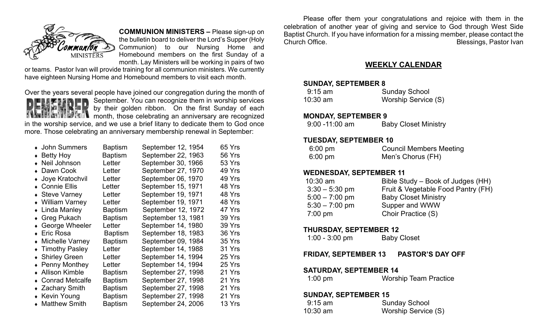

**COMMUNION MINISTERS –** Please sign-up on

the bulletin board to deliver the Lord's Supper (Holy Communion) to our Nursing Home and Homebound members on the first Sunday of a month. Lay Ministers will be working in pairs of two

or teams. Pastor Ivan will provide training for all communion ministers. We currently have eighteen Nursing Home and Homebound members to visit each month.



Over the years several people have joined our congregation during the month of September. You can recognize them in worship services by their golden ribbon. On the first Sunday of each **MAIN** month, those celebrating an anniversary are recognized in the worship service, and we use a brief litany to dedicate them to God once

more. Those celebrating an anniversary membership renewal in September:

| • John Summers          | Baptism        | September 12, 1954 | 65 Yrs |
|-------------------------|----------------|--------------------|--------|
| $\bullet$ Betty Hoy     | <b>Baptism</b> | September 22, 1963 | 56 Yrs |
| • Neil Johnson          | Letter         | September 30, 1966 | 53 Yrs |
| • Dawn Cook             | Letter         | September 27, 1970 | 49 Yrs |
| • Joye Kratochvil       | Letter         | September 06, 1970 | 49 Yrs |
| • Connie Ellis          | Letter         | September 15, 1971 | 48 Yrs |
| • Steve Varney          | Letter         | September 19, 1971 | 48 Yrs |
| • William Varney        | Letter         | September 19, 1971 | 48 Yrs |
| • Linda Manley          | Baptism        | September 12, 1972 | 47 Yrs |
| ◆ Greg Pukach           | Baptism        | September 13, 1981 | 39 Yrs |
| ◆ George Wheeler        | Letter         | September 14, 1980 | 39 Yrs |
| ◆ Eric Rosa             | <b>Baptism</b> | September 18, 1983 | 36 Yrs |
| • Michelle Varney       | Baptism        | September 09, 1984 | 35 Yrs |
| • Timothy Pasley        | Letter         | September 14, 1988 | 31 Yrs |
| ◆ Shirley Green         | Letter         | September 14, 1994 | 25 Yrs |
| $\bullet$ Penny Monthey | Letter         | September 14, 1994 | 25 Yrs |
| • Allison Kimble        | Baptism        | September 27, 1998 | 21 Yrs |
| • Conrad Metcalfe       | Baptism        | September 27, 1998 | 21 Yrs |
| • Zachary Smith         | Baptism        | September 27, 1998 | 21 Yrs |
| • Kevin Young           | Baptism        | September 27, 1998 | 21 Yrs |
| • Matthew Smith         | Baptism        | September 24, 2006 | 13 Yrs |

Please offer them your congratulations and rejoice with them in the celebration of another year of giving and service to God through West Side Baptist Church. If you have information for a missing member, please contact the Church Office. **Blessings, Pastor Ivan** 

## **WEEKLY CALENDAR**

#### **SUNDAY, SEPTEMBER 8**

| $9:15$ am | <b>Sunday School</b> |
|-----------|----------------------|
| 10:30 am  | Worship Service (S)  |

#### **MONDAY, SEPTEMBER 9**

| $9:00 - 11:00$ am | <b>Baby Closet Ministry</b> |
|-------------------|-----------------------------|
|-------------------|-----------------------------|

#### **TUESDAY, SEPTEMBER 10**

| $6:00$ pm         | <b>Council Members Meeting</b> |
|-------------------|--------------------------------|
| $6:00 \text{ pm}$ | Men's Chorus (FH)              |

#### **WEDNESDAY, SEPTEMBER 11**

| $10:30$ am       | Bible Study – Book of Judges (HH)  |
|------------------|------------------------------------|
| $3:30 - 5:30$ pm | Fruit & Vegetable Food Pantry (FH) |
| $5:00 - 7:00$ pm | <b>Baby Closet Ministry</b>        |
| $5:30 - 7:00$ pm | Supper and WWW                     |
| 7:00 pm          | Choir Practice (S)                 |

### **THURSDAY, SEPTEMBER 12**

| $1:00 - 3:00$ pm | <b>Baby Closet</b> |
|------------------|--------------------|
|------------------|--------------------|

## **FRIDAY, SEPTEMBER 13 PASTOR'S DAY OFF**

### **SATURDAY, SEPTEMBER 14**

| $1:00$ pm | <b>Worship Team Practice</b> |
|-----------|------------------------------|
|           |                              |

#### **SUNDAY, SEPTEMBER 15**

| $9:15$ am  | <b>Sunday School</b> |
|------------|----------------------|
| $10:30$ am | Worship Service (S)  |